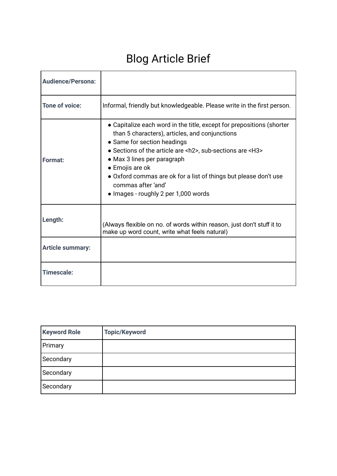# Blog Article Brief

| <b>Audience/Persona:</b> |                                                                                                                                                                                                                                                                                                                                                                                                                        |  |
|--------------------------|------------------------------------------------------------------------------------------------------------------------------------------------------------------------------------------------------------------------------------------------------------------------------------------------------------------------------------------------------------------------------------------------------------------------|--|
| <b>Tone of voice:</b>    | Informal, friendly but knowledgeable. Please write in the first person.                                                                                                                                                                                                                                                                                                                                                |  |
| Format:                  | • Capitalize each word in the title, except for prepositions (shorter<br>than 5 characters), articles, and conjunctions<br>• Same for section headings<br>• Sections of the article are <h2>, sub-sections are <h3><br/>• Max 3 lines per paragraph<br/>• Emojis are ok<br/>• Oxford commas are ok for a list of things but please don't use<br/>commas after 'and'<br/>• Images - roughly 2 per 1,000 words</h3></h2> |  |
| Length:                  | (Always flexible on no. of words within reason, just don't stuff it to<br>make up word count, write what feels natural)                                                                                                                                                                                                                                                                                                |  |
| <b>Article summary:</b>  |                                                                                                                                                                                                                                                                                                                                                                                                                        |  |
| Timescale:               |                                                                                                                                                                                                                                                                                                                                                                                                                        |  |

| <b>Keyword Role</b> | <b>Topic/Keyword</b> |
|---------------------|----------------------|
| Primary             |                      |
| Secondary           |                      |
| Secondary           |                      |
| Secondary           |                      |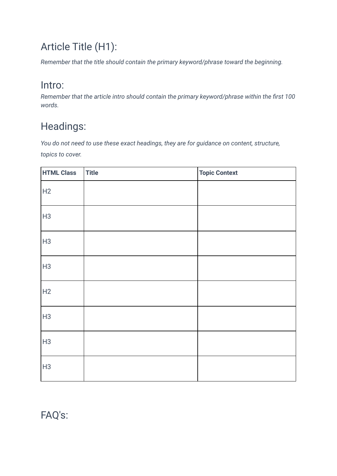# Article Title (H1):

*Remember that the title should contain the primary keyword/phrase toward the beginning.*

#### Intro:

*Remember that the article intro should contain the primary keyword/phrase within the first 100 words.*

## Headings:

*You do not need to use these exact headings, they are for guidance on content, structure, topics to cover.*

| <b>HTML Class</b> | Title | <b>Topic Context</b> |
|-------------------|-------|----------------------|
| H2                |       |                      |
| H3                |       |                      |
| H3                |       |                      |
| H3                |       |                      |
| H2                |       |                      |
| H3                |       |                      |
| H3                |       |                      |
| H <sub>3</sub>    |       |                      |

FAQ's: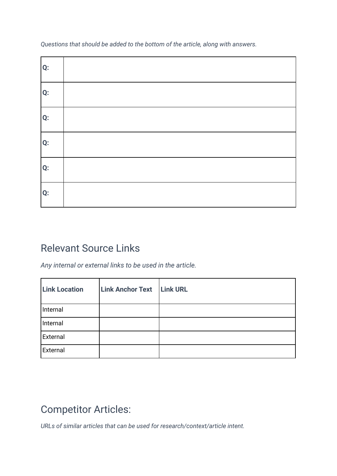*Questions that should be added to the bottom of the article, along with answers.* 

| Q: |  |
|----|--|
| Q: |  |
| Q: |  |
| Q: |  |
| Q: |  |
| Q: |  |

#### Relevant Source Links

*Any internal or external links to be used in the article.*

| <b>Link Location</b> | <b>Link Anchor Text</b> | <b>Link URL</b> |
|----------------------|-------------------------|-----------------|
| Internal             |                         |                 |
| Internal             |                         |                 |
| External             |                         |                 |
| External             |                         |                 |

### Competitor Articles:

*URLs of similar articles that can be used for research/context/article intent.*